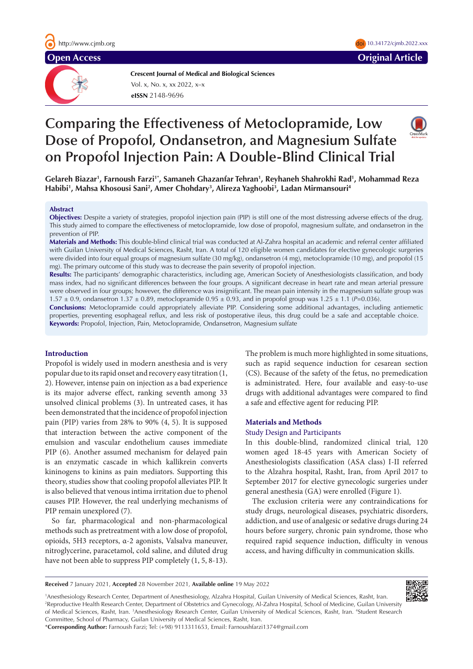

**Crescent Journal of Medical and Biological Sciences eISSN** 2148-9696 Vol. x, No. x, xx 2022, x–x

# **Comparing the Effectiveness of Metoclopramide, Low Dose of Propofol, Ondansetron, and Magnesium Sulfate on Propofol Injection Pain: A Double-Blind Clinical Trial**

**Gelareh Biazar1 , Farnoush Farzi1\*, Samaneh Ghazanfar Tehran1 , Reyhaneh Shahrokhi Rad1 , Mohammad Reza Habibi1 , Mahsa Khosousi Sani2 , Amer Chohdary3 , Alireza Yaghoobi3 , Ladan Mirmansouri4**

#### **Abstract**

**Objectives:** Despite a variety of strategies, propofol injection pain (PIP) is still one of the most distressing adverse effects of the drug. This study aimed to compare the effectiveness of metoclopramide, low dose of propofol, magnesium sulfate, and ondansetron in the prevention of PIP.

**Materials and Methods:** This double-blind clinical trial was conducted at Al-Zahra hospital an academic and referral center affiliated with Guilan University of Medical Sciences, Rasht, Iran. A total of 120 eligible women candidates for elective gynecologic surgeries were divided into four equal groups of magnesium sulfate (30 mg/kg), ondansetron (4 mg), metoclopramide (10 mg), and propofol (15 mg). The primary outcome of this study was to decrease the pain severity of propofol injection.

**Results:** The participants' demographic characteristics, including age, American Society of Anesthesiologists classification, and body mass index, had no significant differences between the four groups. A significant decrease in heart rate and mean arterial pressure were observed in four groups; however, the difference was insignificant. The mean pain intensity in the magnesium sulfate group was 1.57  $\pm$  0.9, ondansetron 1.37  $\pm$  0.89, metoclopramide 0.95  $\pm$  0.93, and in propofol group was 1.25  $\pm$  1.1 (*P*=0.036).

**Conclusions:** Metoclopramide could appropriately alleviate PIP. Considering some additional advantages, including antiemetic properties, preventing esophageal reflux, and less risk of postoperative ileus, this drug could be a safe and acceptable choice. **Keywords:** Propofol, Injection, Pain, Metoclopramide, Ondansetron, Magnesium sulfate

# **Introduction**

Propofol is widely used in modern anesthesia and is very popular due to its rapid onset and recovery easy titration (1, 2). However, intense pain on injection as a bad experience is its major adverse effect, ranking seventh among 33 unsolved clinical problems (3). In untreated cases, it has been demonstrated that the incidence of propofol injection pain (PIP) varies from 28% to 90% (4, 5). It is supposed that interaction between the active component of the emulsion and vascular endothelium causes immediate PIP (6). Another assumed mechanism for delayed pain is an enzymatic cascade in which kallikrein converts kininogens to kinins as pain mediators. Supporting this theory, studies show that cooling propofol alleviates PIP. It is also believed that venous intima irritation due to phenol causes PIP. However, the real underlying mechanisms of PIP remain unexplored (7).

So far, pharmacological and non-pharmacological methods such as pretreatment with a low dose of propofol, opioids, 5H3 receptors, α-2 agonists, Valsalva maneuver, nitroglycerine, paracetamol, cold saline, and diluted drug have not been able to suppress PIP completely (1, 5, 8-13).

The problem is much more highlighted in some situations, such as rapid sequence induction for cesarean section (CS). Because of the safety of the fetus, no premedication is administrated. Here, four available and easy-to-use drugs with additional advantages were compared to find a safe and effective agent for reducing PIP.

 $10.34172$ /cjmb.2022.xxx

## **Materials and Methods**

## Study Design and Participants

In this double-blind, randomized clinical trial, 120 women aged 18-45 years with American Society of Anesthesiologists classification (ASA class) I-II referred to the Alzahra hospital, Rasht, Iran, from April 2017 to September 2017 for elective gynecologic surgeries under general anesthesia (GA) were enrolled (Figure 1).

The exclusion criteria were any contraindications for study drugs, neurological diseases, psychiatric disorders, addiction, and use of analgesic or sedative drugs during 24 hours before surgery, chronic pain syndrome, those who required rapid sequence induction, difficulty in venous access, and having difficulty in communication skills.

**Received** 7 January 2021, **Accepted** 28 November 2021, **Available online** 19 May 2022



1 Anesthesiology Research Center, Department of Anesthesiology, Alzahra Hospital, Guilan University of Medical Sciences, Rasht, Iran. 2 Reproductive Health Research Center, Department of Obstetrics and Gynecology, Al-Zahra Hospital, School of Medicine, Guilan University of Medical Sciences, Rasht, Iran. <sup>3</sup>Anesthesiology Research Center, Guilan University of Medical Sciences, Rasht, Iran. <sup>4</sup>Student Research Committee, School of Pharmacy, Guilan University of Medical Sciences, Rasht, Iran.

\***Corresponding Author:** Farnoush Farzi; Tel: (+98) 9113311653, Email: Farnoushfarzi1374@gmail.com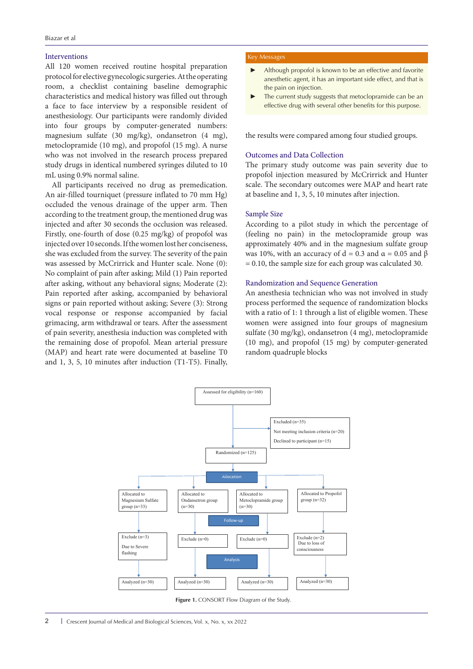# Interventions

All 120 women received routine hospital preparation protocol for elective gynecologic surgeries. At the operating room, a checklist containing baseline demographic characteristics and medical history was filled out through a face to face interview by a responsible resident of anesthesiology. Our participants were randomly divided into four groups by computer-generated numbers: magnesium sulfate (30 mg/kg), ondansetron (4 mg), metoclopramide (10 mg), and propofol (15 mg). A nurse who was not involved in the research process prepared study drugs in identical numbered syringes diluted to 10 mL using 0.9% normal saline.

All participants received no drug as premedication. An air-filled tourniquet (pressure inflated to 70 mm Hg) occluded the venous drainage of the upper arm. Then according to the treatment group, the mentioned drug was injected and after 30 seconds the occlusion was released. Firstly, one-fourth of dose (0.25 mg/kg) of propofol was injected over 10 seconds. If the women lost her conciseness, she was excluded from the survey. The severity of the pain was assessed by McCrirrick and Hunter scale. None (0): No complaint of pain after asking; Mild (1) Pain reported after asking, without any behavioral signs; Moderate (2): Pain reported after asking, accompanied by behavioral signs or pain reported without asking; Severe (3): Strong vocal response or response accompanied by facial grimacing, arm withdrawal or tears. After the assessment of pain severity, anesthesia induction was completed with the remaining dose of propofol. Mean arterial pressure (MAP) and heart rate were documented at baseline T0 and 1, 3, 5, 10 minutes after induction (T1-T5). Finally,

#### Key Messages

- Although propofol is known to be an effective and favorite anesthetic agent, it has an important side effect, and that is the pain on injection.
- The current study suggests that metoclopramide can be an effective drug with several other benefits for this purpose.

the results were compared among four studied groups.

# Outcomes and Data Collection

The primary study outcome was pain severity due to propofol injection measured by McCrirrick and Hunter scale. The secondary outcomes were MAP and heart rate at baseline and 1, 3, 5, 10 minutes after injection.

# Sample Size

According to a pilot study in which the percentage of (feeling no pain) in the metoclopramide group was approximately 40% and in the magnesium sulfate group was 10%, with an accuracy of d = 0.3 and  $\alpha$  = 0.05 and  $\beta$ = 0.10, the sample size for each group was calculated 30.

# Randomization and Sequence Generation

An anesthesia technician who was not involved in study process performed the sequence of randomization blocks with a ratio of 1: 1 through a list of eligible women. These women were assigned into four groups of magnesium sulfate (30 mg/kg), ondansetron (4 mg), metoclopramide (10 mg), and propofol (15 mg) by computer-generated random quadruple blocks



**Figure 1.** CONSORT Flow Diagram of the Study.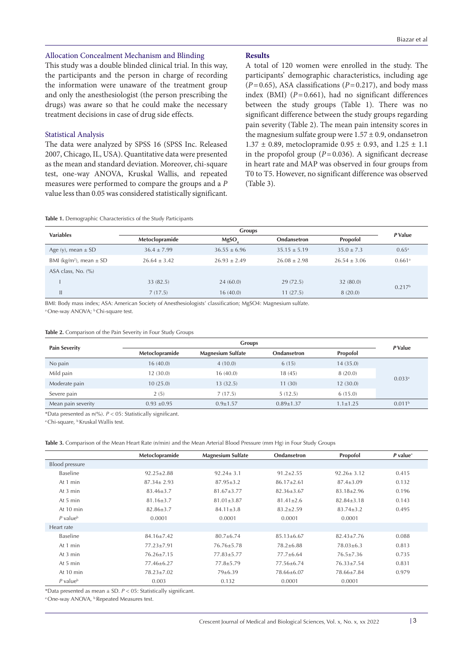# Allocation Concealment Mechanism and Blinding

This study was a double blinded clinical trial. In this way, the participants and the person in charge of recording the information were unaware of the treatment group and only the anesthesiologist (the person prescribing the drugs) was aware so that he could make the necessary treatment decisions in case of drug side effects.

# Statistical Analysis

The data were analyzed by SPSS 16 (SPSS Inc. Released 2007, Chicago, IL, USA). Quantitative data were presented as the mean and standard deviation. Moreover, chi-square test, one-way ANOVA, Kruskal Wallis, and repeated measures were performed to compare the groups and a *P*  value less than 0.05 was considered statistically significant.

# **Results**

A total of 120 women were enrolled in the study. The participants' demographic characteristics, including age  $(P=0.65)$ , ASA classifications  $(P=0.217)$ , and body mass index (BMI)  $(P=0.661)$ , had no significant differences between the study groups (Table 1). There was no significant difference between the study groups regarding pain severity (Table 2). The mean pain intensity scores in the magnesium sulfate group were  $1.57 \pm 0.9$ , ondansetron  $1.37 \pm 0.89$ , metoclopramide  $0.95 \pm 0.93$ , and  $1.25 \pm 1.1$ in the propofol group  $(P=0.036)$ . A significant decrease in heart rate and MAP was observed in four groups from T0 to T5. However, no significant difference was observed (Table 3).

**Table 1.** Demographic Characteristics of the Study Participants

| <b>Variables</b>                        | <b>Groups</b>   |                  |                  |                | P Value              |
|-----------------------------------------|-----------------|------------------|------------------|----------------|----------------------|
|                                         | Metoclopramide  | MgSO             | Ondansetron      | Propofol       |                      |
| Age (y), mean $\pm$ SD                  | $36.4 \pm 7.99$ | $36.55 \pm 6.96$ | $35.15 \pm 5.19$ | $35.0 \pm 7.3$ | $0.65^{\rm a}$       |
| BMI (kg/m <sup>2</sup> ), mean $\pm$ SD | $26.64 + 3.42$  | $26.93 + 2.49$   | $26.08 + 2.98$   | $26.54 + 3.06$ | $0.661$ <sup>a</sup> |
| ASA class, No. $(\% )$                  |                 |                  |                  |                |                      |
|                                         | 33 (82.5)       | 24(60.0)         | 29(72.5)         | 32 (80.0)      | 0.217 <sup>b</sup>   |
| Ш                                       | 7(17.5)         | 16(40.0)         | 11(27.5)         | 8(20.0)        |                      |

BMI: Body mass index; ASA: American Society of Anesthesiologists' classification; MgSO4: Magnesium sulfate.

<sup>a</sup> One-way ANOVA; <sup>b</sup> Chi-square test.

**Table 2.** Comparison of the Pain Severity in Four Study Groups

| <b>Pain Severity</b> | <b>Groups</b>   |                          |                 |                | P Value            |
|----------------------|-----------------|--------------------------|-----------------|----------------|--------------------|
|                      | Metoclopramide  | <b>Magnesium Sulfate</b> | Ondansetron     | Propofol       |                    |
| No pain              | 16(40.0)        | 4(10.0)                  | 6(15)           | 14(35.0)       | 0.033a             |
| Mild pain            | 12(30.0)        | 16(40.0)                 | 18 (45)         | 8(20.0)        |                    |
| Moderate pain        | 10(25.0)        | 13(32.5)                 | 11(30)          | 12(30.0)       |                    |
| Severe pain          | 2(5)            | 7(17.5)                  | 5(12.5)         | 6(15.0)        |                    |
| Mean pain severity   | $0.93 \pm 0.95$ | $0.9 \pm 1.57$           | $0.89 \pm 1.37$ | $1.1 \pm 1.25$ | 0.011 <sup>b</sup> |

\*Data presented as n(%). *P* < 05: Statistically significant.

<sup>a</sup> Chi-square, <sup>b</sup> Kruskal Wallis test.

**Table 3.** Comparison of the Mean Heart Rate (n/min) and the Mean Arterial Blood Pressure (mm Hg) in Four Study Groups

|                        | Metoclopramide   | <b>Magnesium Sulfate</b> | Ondansetron      | Propofol         | $P$ value <sup><math>a</math></sup> |
|------------------------|------------------|--------------------------|------------------|------------------|-------------------------------------|
| <b>Blood pressure</b>  |                  |                          |                  |                  |                                     |
| Baseline               | $92.25 \pm 2.88$ | $92.24 \pm 3.1$          | $91.2 \pm 2.55$  | $92.26 \pm 3.12$ | 0.415                               |
| At 1 min               | $87.34 \pm 2.93$ | $87.95 \pm 3.2$          | $86.17 \pm 2.61$ | $87.4 \pm 3.09$  | 0.132                               |
| At 3 min               | $83.46 \pm 3.7$  | $81.67 \pm 3.77$         | $82.36 \pm 3.67$ | $83.18 \pm 2.96$ | 0.196                               |
| At 5 min               | $81.16 \pm 3.7$  | $81.01 \pm 3.87$         | $81.41 \pm 2.6$  | $82.84 \pm 3.18$ | 0.143                               |
| At 10 min              | $82.86 \pm 3.7$  | $84.11 \pm 3.8$          | $83.2 + 2.59$    | $83.74 + 3.2$    | 0.495                               |
| $P$ value <sup>b</sup> | 0.0001           | 0.0001                   | 0.0001           | 0.0001           |                                     |
| Heart rate             |                  |                          |                  |                  |                                     |
| Baseline               | $84.16 \pm 7.42$ | $80.7 \pm 6.74$          | $85.13 \pm 6.67$ | $82.43 \pm 7.76$ | 0.088                               |
| At 1 min               | 77.23±7.91       | $76.76 \pm 5.78$         | $78.2 \pm 6.88$  | $78.03 \pm 6.3$  | 0.813                               |
| At 3 min               | $76.26 \pm 7.15$ | 77.83±5.77               | $77.7 \pm 6.64$  | $76.5 \pm 7.36$  | 0.735                               |
| At 5 min               | 77.46±6.27       | $77.8 \pm 5.79$          | 77.56±6.74       | $76.33 \pm 7.54$ | 0.831                               |
| At 10 min              | $78.23 \pm 7.02$ | 79±6.39                  | 78.66±6.07       | 78.66±7.84       | 0.979                               |
| $P$ value <sup>b</sup> | 0.003            | 0.132                    | 0.0001           | 0.0001           |                                     |

\*Data presented as mean ± SD. *P* < 05: Statistically significant.

<sup>a</sup> One-way ANOVA, <sup>b</sup> Repeated Measures test.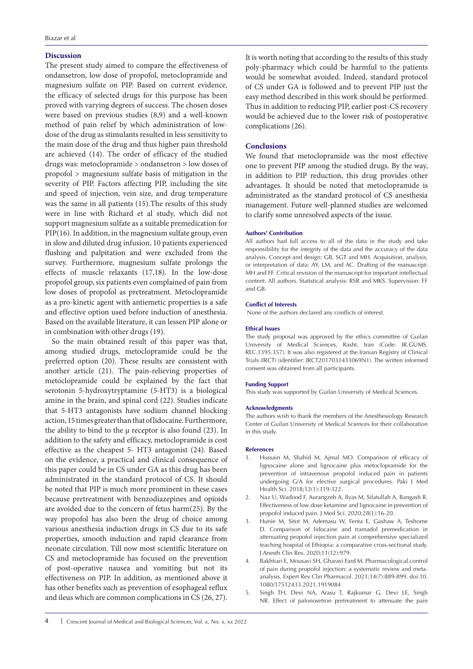# **Discussion**

The present study aimed to compare the effectiveness of ondansetron, low dose of propofol, metoclopramide and magnesium sulfate on PIP. Based on current evidence, the efficacy of selected drugs for this purpose has been proved with varying degrees of success. The chosen doses were based on previous studies (8,9) and a well-known method of pain relief by which administration of lowdose of the drug as stimulants resulted in less sensitivity to the main dose of the drug and thus higher pain threshold are achieved (14). The order of efficacy of the studied drugs was: metoclopramide > ondansetron > low doses of propofol > magnesium sulfate basis of mitigation in the severity of PIP. Factors affecting PIP, including the site and speed of injection, vein size, and drug temperature was the same in all patients (15).The results of this study were in line with Richard et al study, which did not support magnesium sulfate as a suitable premedication for PIP(16). In addition, in the magnesium sulfate group, even in slow and diluted drug infusion, 10 patients experienced flushing and palpitation and were excluded from the survey. Furthermore, magnesium sulfate prolongs the effects of muscle relaxants (17,18). In the low-dose propofol group, six patients even complained of pain from low doses of propofol as pretreatment. Metoclopramide as a pro-kinetic agent with antiemetic properties is a safe and effective option used before induction of anesthesia. Based on the available literature, it can lessen PIP alone or in combination with other drugs (19).

So the main obtained result of this paper was that, among studied drugs, metoclopramide could be the preferred option (20). These results are consistent with another article (21). The pain-relieving properties of metoclopramide could be explained by the fact that serotonin 5-hydroxytryptamine (5-HT3) is a biological amine in the brain, and spinal cord (22). Studies indicate that 5-HT3 antagonists have sodium channel blocking action, 15 times greater than that of lidocaine. Furthermore, the ability to bind to the  $\mu$  receptor is also found (23). In addition to the safety and efficacy, metoclopramide is cost effective as the cheapest 5- HT3 antagonist (24). Based on the evidence, a practical and clinical consequence of this paper could be in CS under GA as this drug has been administrated in the standard protocol of CS. It should be noted that PIP is much more prominent in these cases because pretreatment with benzodiazepines and opioids are avoided due to the concern of fetus harm(25). By the way propofol has also been the drug of choice among various anesthesia induction drugs in CS due to its safe properties, smooth induction and rapid clearance from neonate circulation. Till now most scientific literature on CS and metoclopramide has focused on the prevention of post-operative nausea and vomiting but not its effectiveness on PIP. In addition, as mentioned above it has other benefits such as prevention of esophageal reflux and ileus which are common complications in CS (26, 27). It is worth noting that according to the results of this study poly-pharmacy which could be harmful to the patients would be somewhat avoided. Indeed, standard protocol of CS under GA is followed and to prevent PIP just the easy method described in this work should be performed. Thus in addition to reducing PIP, earlier post-CS recovery would be achieved due to the lower risk of postoperative complications (26).

# **Conclusions**

We found that metoclopramide was the most effective one to prevent PIP among the studied drugs. By the way, in addition to PIP reduction, this drug provides other advantages. It should be noted that metoclopramide is administrated as the standard protocol of CS anesthesia management. Future well-planned studies are welcomed to clarify some unresolved aspects of the issue.

#### **Authors' Contribution**

All authors had full access to all of the data in the study and take responsibility for the integrity of the data and the accuracy of the data analysis. Concept and design: GB, SGT and MH. Acquisition, analysis, or interpretation of data: AY, LM, and AC. Drafting of the manuscript: MH and FF. Critical revision of the manuscript for important intellectual content: All authors. Statistical analysis: RSR and MKS. Supervision: FF and GB.

#### **Conflict of Interests**

None of the authors declared any conflicts of interest.

#### **Ethical Issues**

The study proposal was approved by the ethics committee of Guilan University of Medical Sciences, Rasht, Iran (Code: IR.GUMS. REC.1395.357). It was also registered at the Iranian Registry of Clinical Trials (IRCT) (identifier: IRCT2017031433069N1). The written informed consent was obtained from all participants.

#### **Funding Support**

This study was supported by Guilan University of Medical Sciences.

#### **Acknowledgments**

The authors wish to thank the members of the Anesthesiology Research Center of Guilan University of Medical Sciences for their collaboration in this study.

#### **References**

- 1. Hussain M, Shahid M, Ajmal MO. Comparison of efficacy of lignocaine alone and lignocaine plus metoclopramide for the prevention of intravenous propofol induced pain in patients undergoing G/A for elective surgical procedures. Paki J Med Health Sci. 2018;12(1):319-322.
- 2. Naz U, Wadood F, Aurangzeb A, Ilyas M, Sifatullah A, Bangash R. Effectiveness of low dose ketamine and lignocaine in prevention of propofol induced pain. J Med Sci. 2020;28(1):16-20.
- 3. Hunie M, Sitot M, Ademasu W, Fenta E, Gashaw A, Teshome D. Comparison of lidocaine and tramadol premedication in attenuating propofol injection pain at comprehensive specialized teaching hospital of Ethiopia: a comparative cross-sectional study. J Anesth Clin Res. 2020;11(12):979.
- 4. Bakhtiari E, Mousavi SH, Gharavi Fard M. Pharmacological control of pain during propofol injection: a systematic review and metaanalysis. Expert Rev Clin Pharmacol. 2021;14(7):889-899. doi:10. 1080/17512433.2021.1919084
- 5. Singh TH, Devi NA, Arasu T, Rajkumar G, Devi LE, Singh NR. Effect of palonosetron pretreatment to attenuate the pain